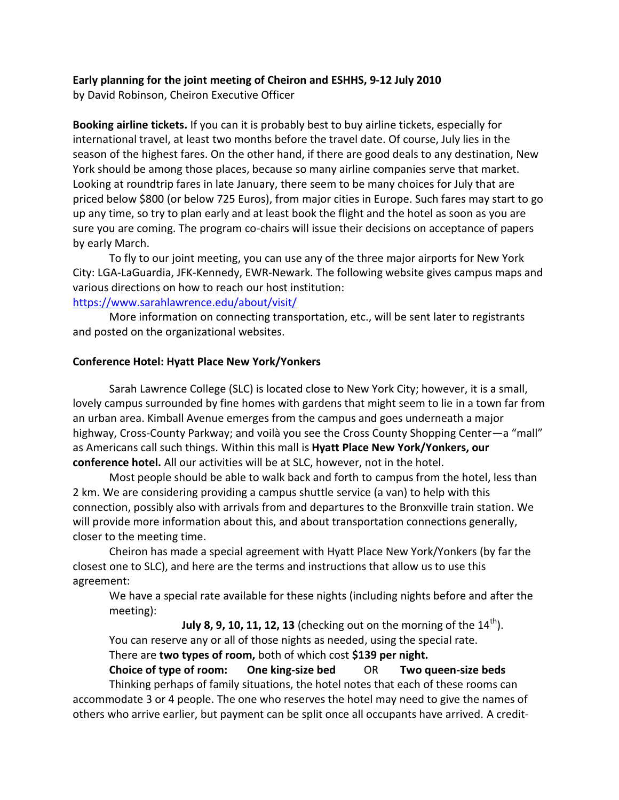## **Early planning for the joint meeting of Cheiron and ESHHS, 9-12 July 2010**

by David Robinson, Cheiron Executive Officer

**Booking airline tickets.** If you can it is probably best to buy airline tickets, especially for international travel, at least two months before the travel date. Of course, July lies in the season of the highest fares. On the other hand, if there are good deals to any destination, New York should be among those places, because so many airline companies serve that market. Looking at roundtrip fares in late January, there seem to be many choices for July that are priced below \$800 (or below 725 Euros), from major cities in Europe. Such fares may start to go up any time, so try to plan early and at least book the flight and the hotel as soon as you are sure you are coming. The program co-chairs will issue their decisions on acceptance of papers by early March.

To fly to our joint meeting, you can use any of the three major airports for New York City: LGA-LaGuardia, JFK-Kennedy, EWR-Newark. The following website gives campus maps and various directions on how to reach our host institution:

## <https://www.sarahlawrence.edu/about/visit/>

More information on connecting transportation, etc., will be sent later to registrants and posted on the organizational websites.

## **Conference Hotel: Hyatt Place New York/Yonkers**

Sarah Lawrence College (SLC) is located close to New York City; however, it is a small, lovely campus surrounded by fine homes with gardens that might seem to lie in a town far from an urban area. Kimball Avenue emerges from the campus and goes underneath a major highway, Cross-County Parkway; and voilà you see the Cross County Shopping Center—a "mall" as Americans call such things. Within this mall is **Hyatt Place New York/Yonkers, our conference hotel.** All our activities will be at SLC, however, not in the hotel.

Most people should be able to walk back and forth to campus from the hotel, less than 2 km. We are considering providing a campus shuttle service (a van) to help with this connection, possibly also with arrivals from and departures to the Bronxville train station. We will provide more information about this, and about transportation connections generally, closer to the meeting time.

Cheiron has made a special agreement with Hyatt Place New York/Yonkers (by far the closest one to SLC), and here are the terms and instructions that allow us to use this agreement:

We have a special rate available for these nights (including nights before and after the meeting):

**July 8, 9, 10, 11, 12, 13** (checking out on the morning of the  $14^{\text{th}}$ ). You can reserve any or all of those nights as needed, using the special rate.

There are **two types of room,** both of which cost **\$139 per night.**

**Choice of type of room: One king-size bed** OR **Two queen-size beds** Thinking perhaps of family situations, the hotel notes that each of these rooms can accommodate 3 or 4 people. The one who reserves the hotel may need to give the names of others who arrive earlier, but payment can be split once all occupants have arrived. A credit